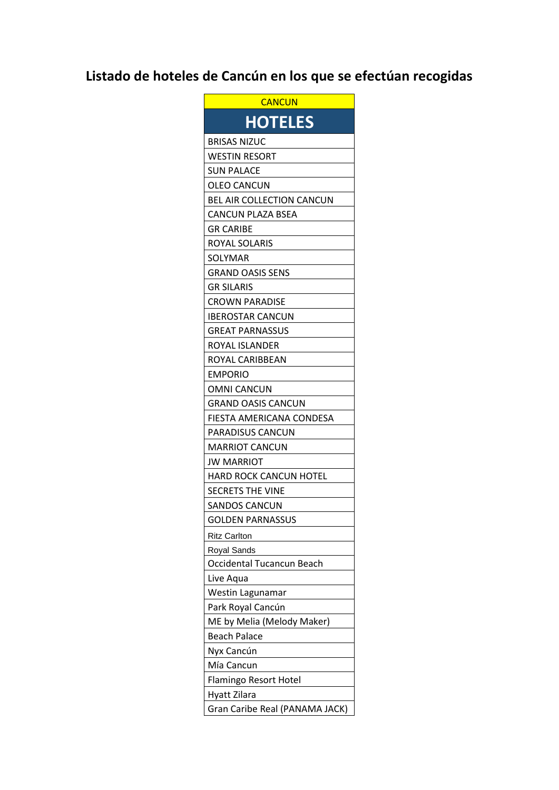## **Listado de hoteles de Cancún en los que se efectúan recogidas**

| CANCUN                         |
|--------------------------------|
| <b>HOTELES</b>                 |
| <b>BRISAS NIZUC</b>            |
| WESTIN RESORT                  |
| SUN PALACE                     |
| OLEO CANCUN                    |
| BEL AIR COLLECTION CANCUN      |
| CANCUN PLAZA BSEA              |
| GR CARIBE                      |
| ROYAL SOLARIS                  |
| SOLYMAR                        |
| <b>GRAND OASIS SENS</b>        |
| <b>GR SILARIS</b>              |
| CROWN PARADISE                 |
| IBEROSTAR CANCUN               |
| <b>GREAT PARNASSUS</b>         |
| ROYAL ISLANDER                 |
| ROYAL CARIBBEAN                |
| <b>EMPORIO</b>                 |
| OMNI CANCUN                    |
| GRAND OASIS CANCUN             |
| FIESTA AMERICANA CONDESA       |
| PARADISUS CANCUN               |
| <b>MARRIOT CANCUN</b>          |
| JW MARRIOT                     |
| <b>HARD ROCK CANCUN HOTEL</b>  |
| <b>SECRETS THE VINE</b>        |
| SANDOS CANCUN                  |
| <b>GOLDEN PARNASSUS</b>        |
| <b>Ritz Carlton</b>            |
| Royal Sands                    |
| Occidental Tucancun Beach      |
| Live Aqua                      |
| Westin Lagunamar               |
| Park Royal Cancún              |
| ME by Melia (Melody Maker)     |
| <b>Beach Palace</b>            |
| Nyx Cancún                     |
| Mía Cancun                     |
| Flamingo Resort Hotel          |
| Hyatt Zilara                   |
| Gran Caribe Real (PANAMA JACK) |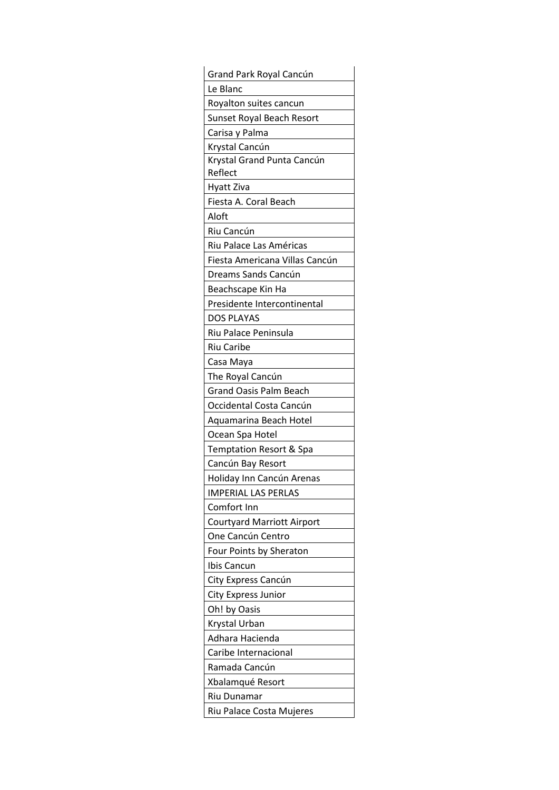| Grand Park Royal Cancún                         |
|-------------------------------------------------|
| Le Blanc                                        |
| Royalton suites cancun                          |
| Sunset Royal Beach Resort                       |
| Carisa y Palma                                  |
| Krystal Cancún                                  |
| Krystal Grand Punta Cancún                      |
| Reflect                                         |
| Hyatt Ziva                                      |
| Fiesta A. Coral Beach                           |
| Aloft                                           |
| Riu Cancún                                      |
| Riu Palace Las Américas                         |
| Fiesta Americana Villas Cancún                  |
| Dreams Sands Cancún                             |
| Beachscape Kin Ha                               |
| Presidente Intercontinental                     |
| DOS PLAYAS                                      |
| Riu Palace Peninsula                            |
| Riu Caribe                                      |
| Casa Maya                                       |
| The Royal Cancún                                |
| <b>Grand Oasis Palm Beach</b>                   |
| Occidental Costa Cancún                         |
| Aquamarina Beach Hotel                          |
| Ocean Spa Hotel                                 |
| Temptation Resort & Spa                         |
| Cancún Bay Resort                               |
| Holiday Inn Cancún Arenas                       |
| <b>IMPERIAL LAS PERLAS</b><br>Comfort Inn       |
|                                                 |
| Courtyard Marriott Airport<br>One Cancún Centro |
| Four Points by Sheraton                         |
|                                                 |
| Ibis Cancun<br>City Express Cancún              |
| City Express Junior                             |
| Oh! by Oasis                                    |
| Krystal Urban                                   |
| Adhara Hacienda                                 |
| Caribe Internacional                            |
| Ramada Cancún                                   |
| Xbalamqué Resort                                |
|                                                 |
| Riu Dunamar                                     |
| Riu Palace Costa Mujeres                        |